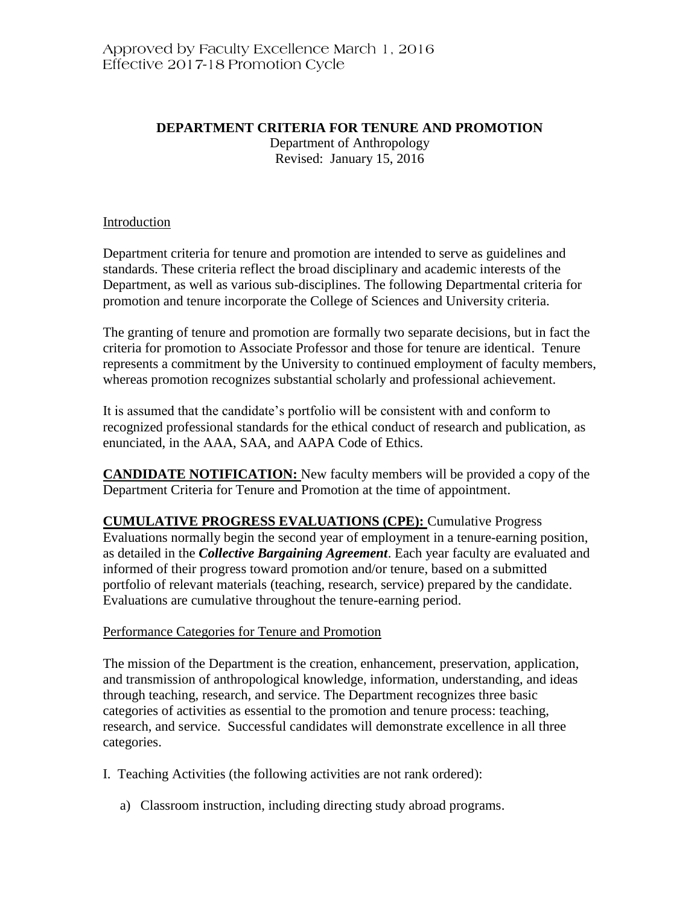# **DEPARTMENT CRITERIA FOR TENURE AND PROMOTION**

Department of Anthropology Revised: January 15, 2016

## Introduction

Department criteria for tenure and promotion are intended to serve as guidelines and standards. These criteria reflect the broad disciplinary and academic interests of the Department, as well as various sub-disciplines. The following Departmental criteria for promotion and tenure incorporate the College of Sciences and University criteria.

The granting of tenure and promotion are formally two separate decisions, but in fact the criteria for promotion to Associate Professor and those for tenure are identical. Tenure represents a commitment by the University to continued employment of faculty members, whereas promotion recognizes substantial scholarly and professional achievement.

It is assumed that the candidate's portfolio will be consistent with and conform to recognized professional standards for the ethical conduct of research and publication, as enunciated, in the AAA, SAA, and AAPA Code of Ethics.

**CANDIDATE NOTIFICATION:** New faculty members will be provided a copy of the Department Criteria for Tenure and Promotion at the time of appointment.

**CUMULATIVE PROGRESS EVALUATIONS (CPE):** Cumulative Progress Evaluations normally begin the second year of employment in a tenure-earning position, as detailed in the *Collective Bargaining Agreement*. Each year faculty are evaluated and informed of their progress toward promotion and/or tenure, based on a submitted portfolio of relevant materials (teaching, research, service) prepared by the candidate. Evaluations are cumulative throughout the tenure-earning period.

### Performance Categories for Tenure and Promotion

The mission of the Department is the creation, enhancement, preservation, application, and transmission of anthropological knowledge, information, understanding, and ideas through teaching, research, and service. The Department recognizes three basic categories of activities as essential to the promotion and tenure process: teaching, research, and service. Successful candidates will demonstrate excellence in all three categories.

- I. Teaching Activities (the following activities are not rank ordered):
	- a) Classroom instruction, including directing study abroad programs.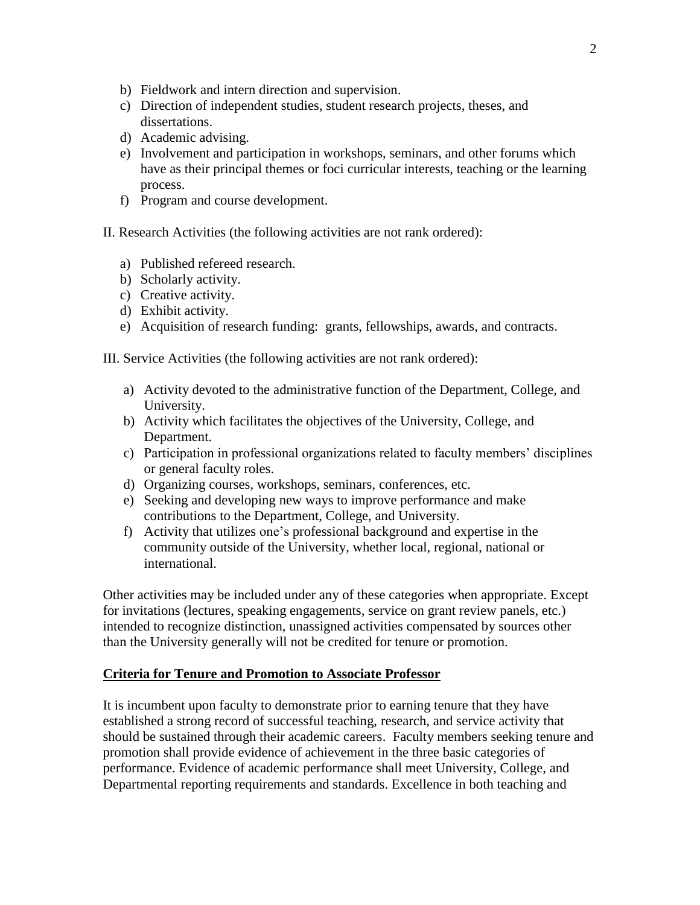- b) Fieldwork and intern direction and supervision.
- c) Direction of independent studies, student research projects, theses, and dissertations.
- d) Academic advising.
- e) Involvement and participation in workshops, seminars, and other forums which have as their principal themes or foci curricular interests, teaching or the learning process.
- f) Program and course development.

II. Research Activities (the following activities are not rank ordered):

- a) Published refereed research.
- b) Scholarly activity.
- c) Creative activity.
- d) Exhibit activity.
- e) Acquisition of research funding: grants, fellowships, awards, and contracts.

III. Service Activities (the following activities are not rank ordered):

- a) Activity devoted to the administrative function of the Department, College, and University.
- b) Activity which facilitates the objectives of the University, College, and Department.
- c) Participation in professional organizations related to faculty members' disciplines or general faculty roles.
- d) Organizing courses, workshops, seminars, conferences, etc.
- e) Seeking and developing new ways to improve performance and make contributions to the Department, College, and University.
- f) Activity that utilizes one's professional background and expertise in the community outside of the University, whether local, regional, national or international.

Other activities may be included under any of these categories when appropriate. Except for invitations (lectures, speaking engagements, service on grant review panels, etc.) intended to recognize distinction, unassigned activities compensated by sources other than the University generally will not be credited for tenure or promotion.

### **Criteria for Tenure and Promotion to Associate Professor**

It is incumbent upon faculty to demonstrate prior to earning tenure that they have established a strong record of successful teaching, research, and service activity that should be sustained through their academic careers. Faculty members seeking tenure and promotion shall provide evidence of achievement in the three basic categories of performance. Evidence of academic performance shall meet University, College, and Departmental reporting requirements and standards. Excellence in both teaching and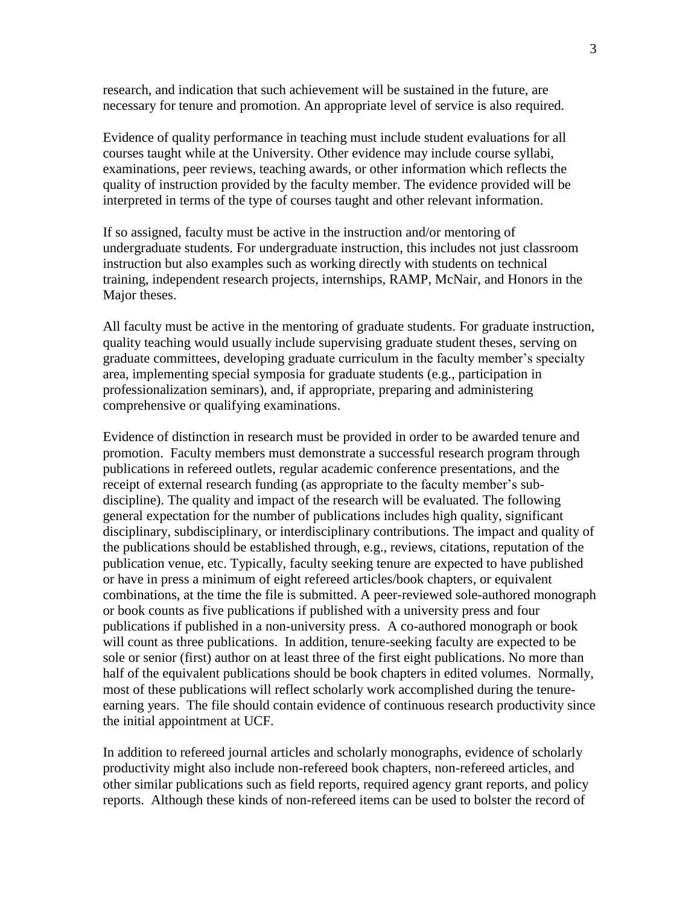research, and indication that such achievement will be sustained in the future, are necessary for tenure and promotion. An appropriate level of service is also required.

Evidence of quality performance in teaching must include student evaluations for all courses taught while at the University. Other evidence may include course syllabi, examinations, peer reviews, teaching awards, or other information which reflects the quality of instruction provided by the faculty member. The evidence provided will be interpreted in terms of the type of courses taught and other relevant information.

If so assigned, faculty must be active in the instruction and/or mentoring of undergraduate students. For undergraduate instruction, this includes not just classroom instruction but also examples such as working directly with students on technical training, independent research projects, internships, RAMP, McNair, and Honors in the Major theses.

All faculty must be active in the mentoring of graduate students. For graduate instruction, quality teaching would usually include supervising graduate student theses, serving on graduate committees, developing graduate curriculum in the faculty member's specialty area, implementing special symposia for graduate students (e.g., participation in professionalization seminars), and, if appropriate, preparing and administering comprehensive or qualifying examinations.

Evidence of distinction in research must be provided in order to be awarded tenure and promotion. Faculty members must demonstrate a successful research program through publications in refereed outlets, regular academic conference presentations, and the receipt of external research funding (as appropriate to the faculty member's subdiscipline). The quality and impact of the research will be evaluated. The following general expectation for the number of publications includes high quality, significant disciplinary, subdisciplinary, or interdisciplinary contributions. The impact and quality of the publications should be established through, e.g., reviews, citations, reputation of the publication venue, etc. Typically, faculty seeking tenure are expected to have published or have in press a minimum of eight refereed articles/book chapters, or equivalent combinations, at the time the file is submitted. A peer-reviewed sole-authored monograph or book counts as five publications if published with a university press and four publications if published in a non-university press. A co-authored monograph or book will count as three publications. In addition, tenure-seeking faculty are expected to be sole or senior (first) author on at least three of the first eight publications. No more than half of the equivalent publications should be book chapters in edited volumes. Normally, most of these publications will reflect scholarly work accomplished during the tenureearning years. The file should contain evidence of continuous research productivity since the initial appointment at UCF.

In addition to refereed journal articles and scholarly monographs, evidence of scholarly productivity might also include non-refereed book chapters, non-refereed articles, and other similar publications such as field reports, required agency grant reports, and policy reports. Although these kinds of non-refereed items can be used to bolster the record of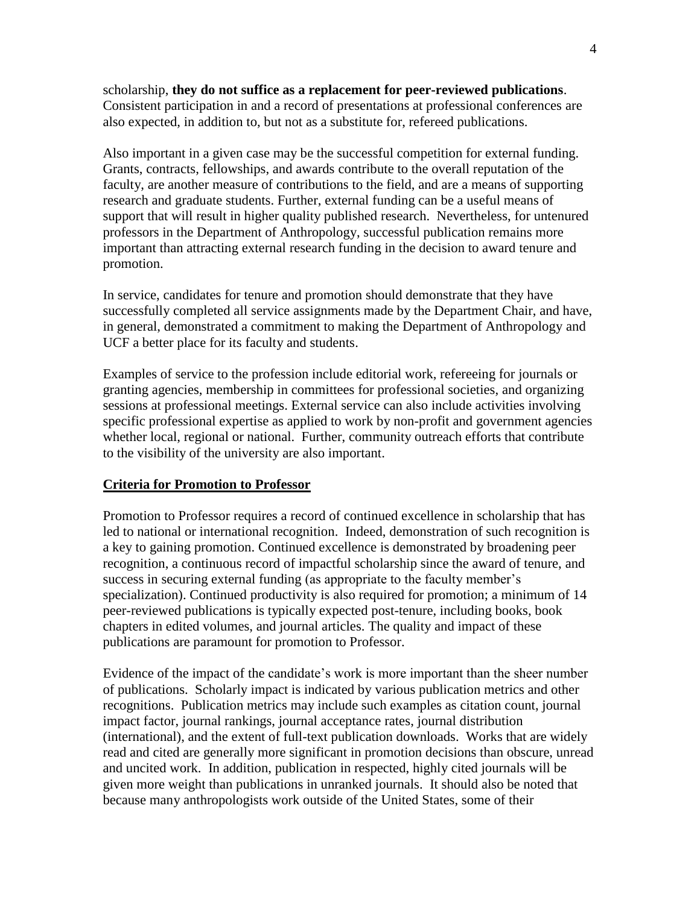scholarship, **they do not suffice as a replacement for peer-reviewed publications**. Consistent participation in and a record of presentations at professional conferences are also expected, in addition to, but not as a substitute for, refereed publications.

Also important in a given case may be the successful competition for external funding. Grants, contracts, fellowships, and awards contribute to the overall reputation of the faculty, are another measure of contributions to the field, and are a means of supporting research and graduate students. Further, external funding can be a useful means of support that will result in higher quality published research. Nevertheless, for untenured professors in the Department of Anthropology, successful publication remains more important than attracting external research funding in the decision to award tenure and promotion.

In service, candidates for tenure and promotion should demonstrate that they have successfully completed all service assignments made by the Department Chair, and have, in general, demonstrated a commitment to making the Department of Anthropology and UCF a better place for its faculty and students.

Examples of service to the profession include editorial work, refereeing for journals or granting agencies, membership in committees for professional societies, and organizing sessions at professional meetings. External service can also include activities involving specific professional expertise as applied to work by non-profit and government agencies whether local, regional or national. Further, community outreach efforts that contribute to the visibility of the university are also important.

### **Criteria for Promotion to Professor**

Promotion to Professor requires a record of continued excellence in scholarship that has led to national or international recognition. Indeed, demonstration of such recognition is a key to gaining promotion. Continued excellence is demonstrated by broadening peer recognition, a continuous record of impactful scholarship since the award of tenure, and success in securing external funding (as appropriate to the faculty member's specialization). Continued productivity is also required for promotion; a minimum of 14 peer-reviewed publications is typically expected post-tenure, including books, book chapters in edited volumes, and journal articles. The quality and impact of these publications are paramount for promotion to Professor.

Evidence of the impact of the candidate's work is more important than the sheer number of publications. Scholarly impact is indicated by various publication metrics and other recognitions. Publication metrics may include such examples as citation count, journal impact factor, journal rankings, journal acceptance rates, journal distribution (international), and the extent of full-text publication downloads. Works that are widely read and cited are generally more significant in promotion decisions than obscure, unread and uncited work. In addition, publication in respected, highly cited journals will be given more weight than publications in unranked journals. It should also be noted that because many anthropologists work outside of the United States, some of their